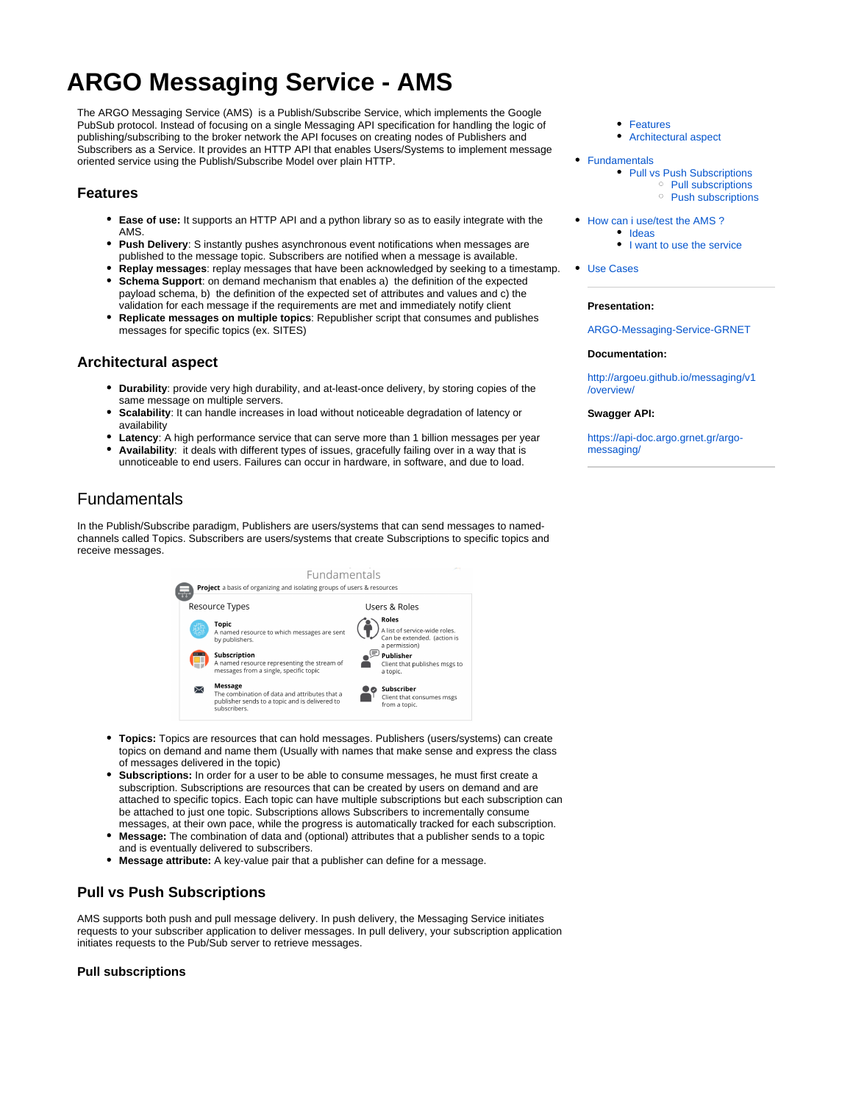# **ARGO Messaging Service - AMS**

The ARGO Messaging Service (AMS) is a Publish/Subscribe Service, which implements the Google PubSub protocol. Instead of focusing on a single Messaging API specification for handling the logic of publishing/subscribing to the broker network the API focuses on creating nodes of Publishers and Subscribers as a Service. It provides an HTTP API that enables Users/Systems to implement message oriented service using the Publish/Subscribe Model over plain HTTP.

## <span id="page-0-0"></span>**Features**

- **Ease of use:** It supports an HTTP API and a python library so as to easily integrate with the **AMS**
- **Push Delivery**: S instantly pushes asynchronous event notifications when messages are published to the message topic. Subscribers are notified when a message is available.
- **Replay messages**: replay messages that have been acknowledged by seeking to a timestamp. **Schema Support**: on demand mechanism that enables a) the definition of the expected payload schema, b) the definition of the expected set of attributes and values and c) the validation for each message if the requirements are met and immediately notify client
- **Replicate messages on multiple topics**: Republisher script that consumes and publishes messages for specific topics (ex. SITES)

### <span id="page-0-1"></span>**Architectural aspect**

- **Durability**: provide very high durability, and at-least-once delivery, by storing copies of the same message on multiple servers.
- **Scalability:** It can handle increases in load without noticeable degradation of latency or availability
- **Latency**: A high performance service that can serve more than 1 billion messages per year
- **Availability**: it deals with different types of issues, gracefully failing over in a way that is unnoticeable to end users. Failures can occur in hardware, in software, and due to load.

# <span id="page-0-2"></span>Fundamentals

In the Publish/Subscribe paradigm, Publishers are users/systems that can send messages to namedchannels called Topics. Subscribers are users/systems that create Subscriptions to specific topics and receive messages.



- **Topics:** Topics are resources that can hold messages. Publishers (users/systems) can create topics on demand and name them (Usually with names that make sense and express the class of messages delivered in the topic)
- **Subscriptions:** In order for a user to be able to consume messages, he must first create a subscription. Subscriptions are resources that can be created by users on demand and are attached to specific topics. Each topic can have multiple subscriptions but each subscription can be attached to just one topic. Subscriptions allows Subscribers to incrementally consume messages, at their own pace, while the progress is automatically tracked for each subscription.
- **Message:** The combination of data and (optional) attributes that a publisher sends to a topic and is eventually delivered to subscribers.
- **Message attribute:** A key-value pair that a publisher can define for a message.

# <span id="page-0-3"></span>**Pull vs Push Subscriptions**

AMS supports both push and pull message delivery. In push delivery, the Messaging Service initiates requests to your subscriber application to deliver messages. In pull delivery, your subscription application initiates requests to the Pub/Sub server to retrieve messages.

#### <span id="page-0-4"></span>**Pull subscriptions**

- [Features](#page-0-0)
- [Architectural aspect](#page-0-1)
- [Fundamentals](#page-0-2)
	- [Pull vs Push Subscriptions](#page-0-3)
		- <sup>o</sup> [Pull subscriptions](#page-0-4)
		- <sup>o</sup> [Push subscriptions](#page-1-0)
- How can i use/test the AMS?
	- [Ideas](#page-1-2)
		- [I want to use the service](#page-1-3)
- [Use Cases](#page-2-0)

#### **Presentation:**

[ARGO-Messaging-Service-GRNET](https://docs.google.com/presentation/d/1PTDSFHAJr2wzAZYx-Rb6dQhkVqOASpv-LaYpkWuJGrM/edit)

#### **Documentation:**

[http://argoeu.github.io/messaging/v1](http://argoeu.github.io/messaging/v1/overview/) [/overview/](http://argoeu.github.io/messaging/v1/overview/)

#### **Swagger API:**

[https://api-doc.argo.grnet.gr/argo](https://api-doc.argo.grnet.gr/argo-messaging/)[messaging/](https://api-doc.argo.grnet.gr/argo-messaging/)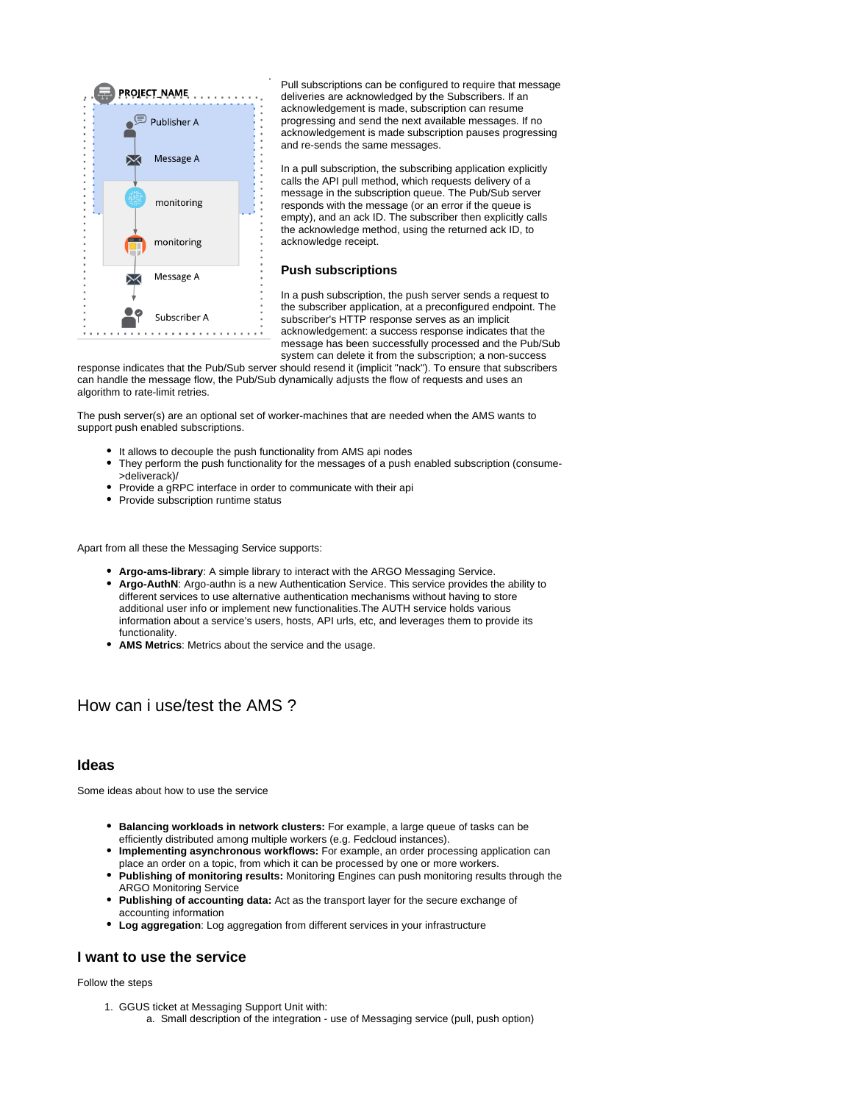

Pull subscriptions can be configured to require that message deliveries are acknowledged by the Subscribers. If an acknowledgement is made, subscription can resume progressing and send the next available messages. If no acknowledgement is made subscription pauses progressing and re-sends the same messages.

In a pull subscription, the subscribing application explicitly calls the API pull method, which requests delivery of a message in the subscription queue. The Pub/Sub server responds with the message (or an error if the queue is empty), and an ack ID. The subscriber then explicitly calls the acknowledge method, using the returned ack ID, to acknowledge receipt.

#### **Push subscriptions**

In a push subscription, the push server sends a request to the subscriber application, at a preconfigured endpoint. The subscriber's HTTP response serves as an implicit acknowledgement: a success response indicates that the message has been successfully processed and the Pub/Sub system can delete it from the subscription; a non-success

<span id="page-1-0"></span>response indicates that the Pub/Sub server should resend it (implicit "nack"). To ensure that subscribers can handle the message flow, the Pub/Sub dynamically adjusts the flow of requests and uses an algorithm to rate-limit retries.

The push server(s) are an optional set of worker-machines that are needed when the AMS wants to support push enabled subscriptions.

- It allows to decouple the push functionality from AMS api nodes
- They perform the push functionality for the messages of a push enabled subscription (consume- >deliverack)/
- Provide a gRPC interface in order to communicate with their api
- Provide subscription runtime status

Apart from all these the Messaging Service supports:

- **Argo-ams-library**: A simple library to interact with the ARGO Messaging Service.
- **Argo-AuthN**: Argo-authn is a new Authentication Service. This service provides the ability to different services to use alternative authentication mechanisms without having to store additional user info or implement new functionalities.The AUTH service holds various information about a service's users, hosts, API urls, etc, and leverages them to provide its functionality.
- **AMS Metrics**: Metrics about the service and the usage.

# <span id="page-1-1"></span>How can i use/test the AMS ?

### <span id="page-1-2"></span>**Ideas**

Some ideas about how to use the service

- **Balancing workloads in network clusters:** For example, a large queue of tasks can be efficiently distributed among multiple workers (e.g. Fedcloud instances).
- **Implementing asynchronous workflows:** For example, an order processing application can place an order on a topic, from which it can be processed by one or more workers.
- **Publishing of monitoring results:** Monitoring Engines can push monitoring results through the ARGO Monitoring Service
- **Publishing of accounting data:** Act as the transport layer for the secure exchange of accounting information
- **Log aggregation**: Log aggregation from different services in your infrastructure

### <span id="page-1-3"></span>**I want to use the service**

#### Follow the steps

1. GGUS ticket at Messaging Support Unit with: a. Small description of the integration - use of Messaging service (pull, push option)